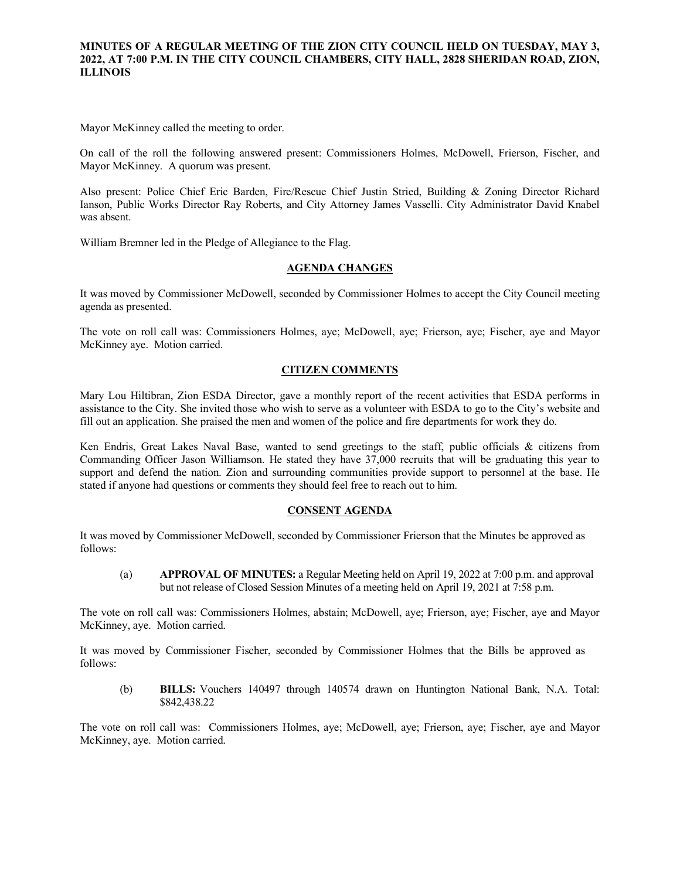## **MINUTES OF A REGULAR MEETING OF THE ZION CITY COUNCIL HELD ON TUESDAY, MAY 3, 2022, AT 7:00 P.M. IN THE CITY COUNCIL CHAMBERS, CITY HALL, 2828 SHERIDAN ROAD, ZION, ILLINOIS**

#### 

Mayor McKinney called the meeting to order.

On call of the roll the following answered present: Commissioners Holmes, McDowell, Frierson, Fischer, and Mayor McKinney. A quorum was present.

Also present: Police Chief Eric Barden, Fire/Rescue Chief Justin Stried, Building & Zoning Director Richard Ianson, Public Works Director Ray Roberts, and City Attorney James Vasselli. City Administrator David Knabel was absent.

William Bremner led in the Pledge of Allegiance to the Flag.

### **AGENDA CHANGES**

It was moved by Commissioner McDowell, seconded by Commissioner Holmes to accept the City Council meeting agenda as presented.

The vote on roll call was: Commissioners Holmes, aye; McDowell, aye; Frierson, aye; Fischer, aye and Mayor McKinney aye. Motion carried.

## **CITIZEN COMMENTS**

Mary Lou Hiltibran, Zion ESDA Director, gave a monthly report of the recent activities that ESDA performs in assistance to the City. She invited those who wish to serve as a volunteer with ESDA to go to the City's website and fill out an application. She praised the men and women of the police and fire departments for work they do.

Ken Endris, Great Lakes Naval Base, wanted to send greetings to the staff, public officials & citizens from Commanding Officer Jason Williamson. He stated they have 37,000 recruits that will be graduating this year to support and defend the nation. Zion and surrounding communities provide support to personnel at the base. He stated if anyone had questions or comments they should feel free to reach out to him.

#### **CONSENT AGENDA**

It was moved by Commissioner McDowell, seconded by Commissioner Frierson that the Minutes be approved as follows:

(a) **APPROVAL OF MINUTES:** a Regular Meeting held on April 19, 2022 at 7:00 p.m. and approval but not release of Closed Session Minutes of a meeting held on April 19, 2021 at 7:58 p.m.

The vote on roll call was: Commissioners Holmes, abstain; McDowell, aye; Frierson, aye; Fischer, aye and Mayor McKinney, aye. Motion carried.

It was moved by Commissioner Fischer, seconded by Commissioner Holmes that the Bills be approved as follows:

(b) **BILLS:** Vouchers 140497 through 140574 drawn on Huntington National Bank, N.A. Total: \$842,438.22

The vote on roll call was: Commissioners Holmes, aye; McDowell, aye; Frierson, aye; Fischer, aye and Mayor McKinney, aye. Motion carried.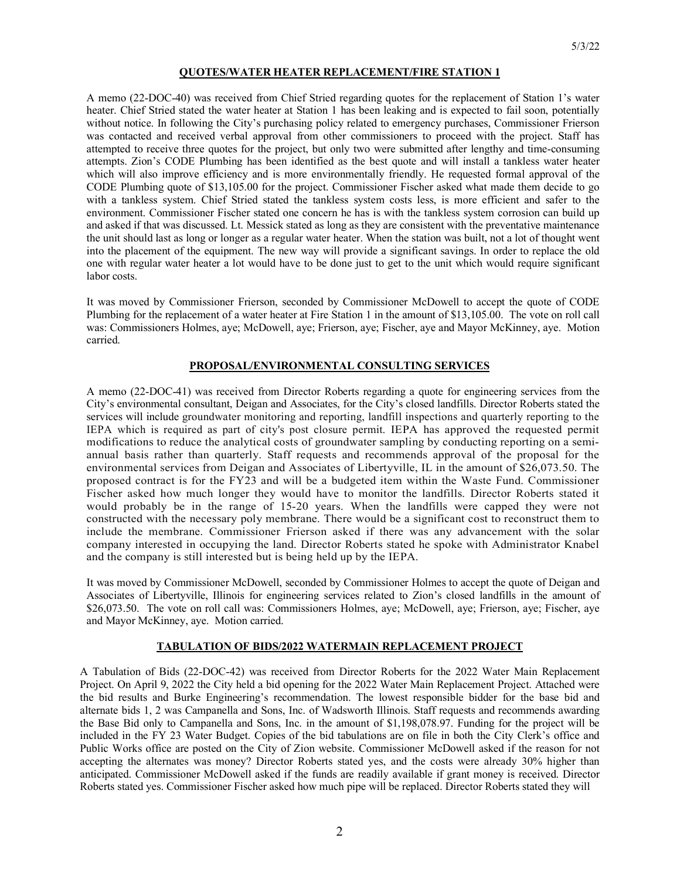## **QUOTES/WATER HEATER REPLACEMENT/FIRE STATION 1**

A memo (22-DOC-40) was received from Chief Stried regarding quotes for the replacement of Station 1's water heater. Chief Stried stated the water heater at Station 1 has been leaking and is expected to fail soon, potentially without notice. In following the City's purchasing policy related to emergency purchases, Commissioner Frierson was contacted and received verbal approval from other commissioners to proceed with the project. Staff has attempted to receive three quotes for the project, but only two were submitted after lengthy and time-consuming attempts. Zion's CODE Plumbing has been identified as the best quote and will install a tankless water heater which will also improve efficiency and is more environmentally friendly. He requested formal approval of the CODE Plumbing quote of \$13,105.00 for the project. Commissioner Fischer asked what made them decide to go with a tankless system. Chief Stried stated the tankless system costs less, is more efficient and safer to the environment. Commissioner Fischer stated one concern he has is with the tankless system corrosion can build up and asked if that was discussed. Lt. Messick stated as long as they are consistent with the preventative maintenance the unit should last as long or longer as a regular water heater. When the station was built, not a lot of thought went into the placement of the equipment. The new way will provide a significant savings. In order to replace the old one with regular water heater a lot would have to be done just to get to the unit which would require significant labor costs.

It was moved by Commissioner Frierson, seconded by Commissioner McDowell to accept the quote of CODE Plumbing for the replacement of a water heater at Fire Station 1 in the amount of \$13,105.00. The vote on roll call was: Commissioners Holmes, aye; McDowell, aye; Frierson, aye; Fischer, aye and Mayor McKinney, aye. Motion carried.

# **PROPOSAL/ENVIRONMENTAL CONSULTING SERVICES**

A memo (22-DOC-41) was received from Director Roberts regarding a quote for engineering services from the City's environmental consultant, Deigan and Associates, for the City's closed landfills. Director Roberts stated the services will include groundwater monitoring and reporting, landfill inspections and quarterly reporting to the IEPA which is required as part of city's post closure permit. IEPA has approved the requested permit modifications to reduce the analytical costs of groundwater sampling by conducting reporting on a semiannual basis rather than quarterly. Staff requests and recommends approval of the proposal for the environmental services from Deigan and Associates of Libertyville, IL in the amount of \$26,073.50. The proposed contract is for the FY23 and will be a budgeted item within the Waste Fund. Commissioner Fischer asked how much longer they would have to monitor the landfills. Director Roberts stated it would probably be in the range of 15-20 years. When the landfills were capped they were not constructed with the necessary poly membrane. There would be a significant cost to reconstruct them to include the membrane. Commissioner Frierson asked if there was any advancement with the solar company interested in occupying the land. Director Roberts stated he spoke with Administrator Knabel and the company is still interested but is being held up by the IEPA.

It was moved by Commissioner McDowell, seconded by Commissioner Holmes to accept the quote of Deigan and Associates of Libertyville, Illinois for engineering services related to Zion's closed landfills in the amount of \$26,073.50. The vote on roll call was: Commissioners Holmes, aye; McDowell, aye; Frierson, aye; Fischer, aye and Mayor McKinney, aye. Motion carried.

# **TABULATION OF BIDS/2022 WATERMAIN REPLACEMENT PROJECT**

A Tabulation of Bids (22-DOC-42) was received from Director Roberts for the 2022 Water Main Replacement Project. On April 9, 2022 the City held a bid opening for the 2022 Water Main Replacement Project. Attached were the bid results and Burke Engineering's recommendation. The lowest responsible bidder for the base bid and alternate bids 1, 2 was Campanella and Sons, Inc. of Wadsworth Illinois. Staff requests and recommends awarding the Base Bid only to Campanella and Sons, Inc. in the amount of \$1,198,078.97. Funding for the project will be included in the FY 23 Water Budget. Copies of the bid tabulations are on file in both the City Clerk's office and Public Works office are posted on the City of Zion website. Commissioner McDowell asked if the reason for not accepting the alternates was money? Director Roberts stated yes, and the costs were already 30% higher than anticipated. Commissioner McDowell asked if the funds are readily available if grant money is received. Director Roberts stated yes. Commissioner Fischer asked how much pipe will be replaced. Director Roberts stated they will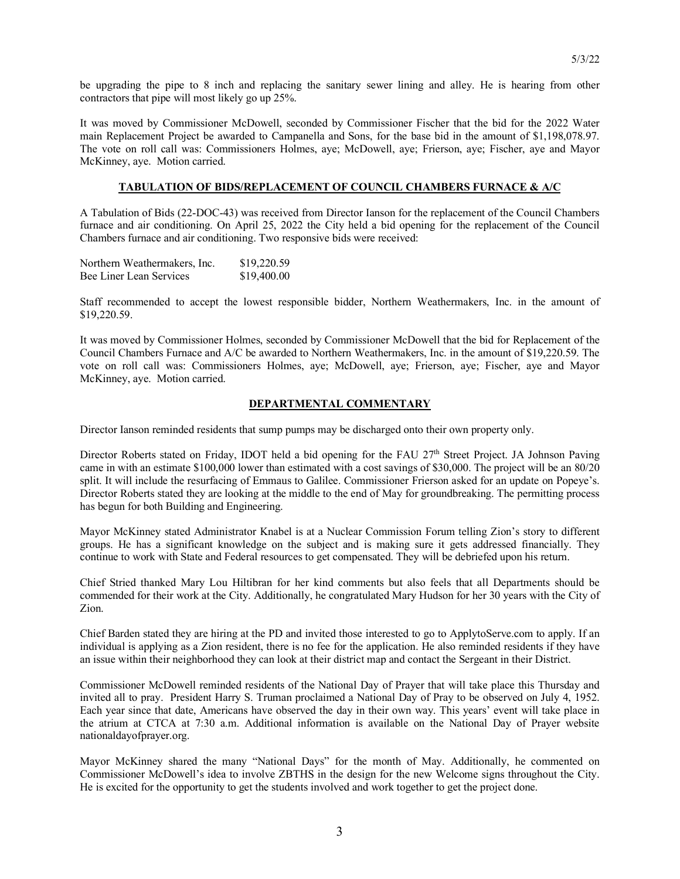be upgrading the pipe to 8 inch and replacing the sanitary sewer lining and alley. He is hearing from other contractors that pipe will most likely go up 25%.

It was moved by Commissioner McDowell, seconded by Commissioner Fischer that the bid for the 2022 Water main Replacement Project be awarded to Campanella and Sons, for the base bid in the amount of \$1,198,078.97. The vote on roll call was: Commissioners Holmes, aye; McDowell, aye; Frierson, aye; Fischer, aye and Mayor McKinney, aye. Motion carried.

# **TABULATION OF BIDS/REPLACEMENT OF COUNCIL CHAMBERS FURNACE & A/C**

A Tabulation of Bids (22-DOC-43) was received from Director Ianson for the replacement of the Council Chambers furnace and air conditioning. On April 25, 2022 the City held a bid opening for the replacement of the Council Chambers furnace and air conditioning. Two responsive bids were received:

| Northern Weathermakers, Inc. | \$19,220.59 |
|------------------------------|-------------|
| Bee Liner Lean Services      | \$19,400.00 |

Staff recommended to accept the lowest responsible bidder, Northern Weathermakers, Inc. in the amount of \$19,220.59.

It was moved by Commissioner Holmes, seconded by Commissioner McDowell that the bid for Replacement of the Council Chambers Furnace and A/C be awarded to Northern Weathermakers, Inc. in the amount of \$19,220.59. The vote on roll call was: Commissioners Holmes, aye; McDowell, aye; Frierson, aye; Fischer, aye and Mayor McKinney, aye. Motion carried.

## **DEPARTMENTAL COMMENTARY**

Director Ianson reminded residents that sump pumps may be discharged onto their own property only.

Director Roberts stated on Friday, IDOT held a bid opening for the FAU 27<sup>th</sup> Street Project. JA Johnson Paving came in with an estimate \$100,000 lower than estimated with a cost savings of \$30,000. The project will be an 80/20 split. It will include the resurfacing of Emmaus to Galilee. Commissioner Frierson asked for an update on Popeye's. Director Roberts stated they are looking at the middle to the end of May for groundbreaking. The permitting process has begun for both Building and Engineering.

Mayor McKinney stated Administrator Knabel is at a Nuclear Commission Forum telling Zion's story to different groups. He has a significant knowledge on the subject and is making sure it gets addressed financially. They continue to work with State and Federal resources to get compensated. They will be debriefed upon his return.

Chief Stried thanked Mary Lou Hiltibran for her kind comments but also feels that all Departments should be commended for their work at the City. Additionally, he congratulated Mary Hudson for her 30 years with the City of Zion.

Chief Barden stated they are hiring at the PD and invited those interested to go to ApplytoServe.com to apply. If an individual is applying as a Zion resident, there is no fee for the application. He also reminded residents if they have an issue within their neighborhood they can look at their district map and contact the Sergeant in their District.

Commissioner McDowell reminded residents of the National Day of Prayer that will take place this Thursday and invited all to pray. President Harry S. Truman proclaimed a National Day of Pray to be observed on July 4, 1952. Each year since that date, Americans have observed the day in their own way. This years' event will take place in the atrium at CTCA at 7:30 a.m. Additional information is available on the National Day of Prayer website nationaldayofprayer.org.

Mayor McKinney shared the many "National Days" for the month of May. Additionally, he commented on Commissioner McDowell's idea to involve ZBTHS in the design for the new Welcome signs throughout the City. He is excited for the opportunity to get the students involved and work together to get the project done.